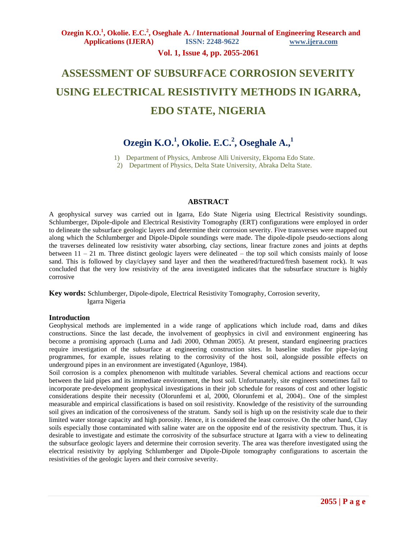### **Vol. 1, Issue 4, pp. 2055-2061**

# **ASSESSMENT OF SUBSURFACE CORROSION SEVERITY USING ELECTRICAL RESISTIVITY METHODS IN IGARRA, EDO STATE, NIGERIA**

# **Ozegin K.O.<sup>1</sup> , Okolie. E.C.<sup>2</sup> , Oseghale A.,<sup>1</sup>**

1) Department of Physics, Ambrose Alli University, Ekpoma Edo State.

2) Department of Physics, Delta State University, Abraka Delta State.

#### **ABSTRACT**

A geophysical survey was carried out in Igarra, Edo State Nigeria using Electrical Resistivity soundings. Schlumberger, Dipole-dipole and Electrical Resistivity Tomography (ERT) configurations were employed in order to delineate the subsurface geologic layers and determine their corrosion severity. Five transverses were mapped out along which the Schlumberger and Dipole-Dipole soundings were made. The dipole-dipole pseudo-sections along the traverses delineated low resistivity water absorbing, clay sections, linear fracture zones and joints at depths between 11 – 21 m. Three distinct geologic layers were delineated – the top soil which consists mainly of loose sand. This is followed by clay/clayey sand layer and then the weathered/fractured/fresh basement rock). It was concluded that the very low resistivity of the area investigated indicates that the subsurface structure is highly corrosive

**Key words:** Schlumberger, Dipole-dipole, Electrical Resistivity Tomography, Corrosion severity, Igarra Nigeria

#### **Introduction**

Geophysical methods are implemented in a wide range of applications which include road, dams and dikes constructions. Since the last decade, the involvement of geophysics in civil and environment engineering has become a promising approach (Luma and Jadi 2000, Othman 2005). At present, standard engineering practices require investigation of the subsurface at engineering construction sites. In baseline studies for pipe-laying programmes, for example, issues relating to the corrosivity of the host soil, alongside possible effects on underground pipes in an environment are investigated (Agunloye, 1984).

Soil corrosion is a complex phenomenon with multitude variables. Several chemical actions and reactions occur between the laid pipes and its immediate environment, the host soil. Unfortunately, site engineers sometimes fail to incorporate pre-development geophysical investigations in their job schedule for reasons of cost and other logistic considerations despite their necessity (Olorunfemi et al, 2000, Olorunfemi et al, 2004).. One of the simplest measurable and empirical classifications is based on soil resistivity. Knowledge of the resistivity of the surrounding soil gives an indication of the corrosiveness of the stratum. Sandy soil is high up on the resistivity scale due to their limited water storage capacity and high porosity. Hence, it is considered the least corrosive. On the other hand, Clay soils especially those contaminated with saline water are on the opposite end of the resistivity spectrum. Thus, it is desirable to investigate and estimate the corrosivity of the subsurface structure at Igarra with a view to delineating the subsurface geologic layers and determine their corrosion severity. The area was therefore investigated using the electrical resistivity by applying Schlumberger and Dipole-Dipole tomography configurations to ascertain the resistivities of the geologic layers and their corrosive severity.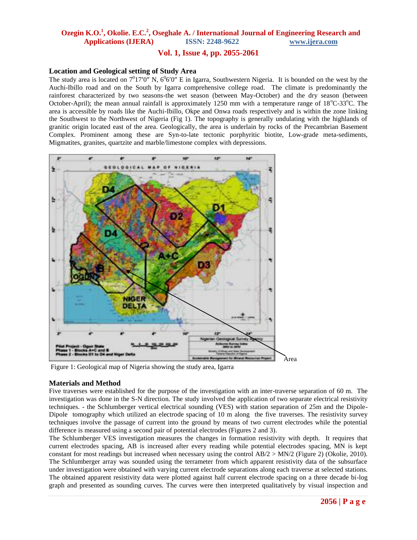### **Vol. 1, Issue 4, pp. 2055-2061**

#### **Location and Geological setting of Study Area**

The study area is located on  $7^017'0''$  N,  $6^06'0''$  E in Igarra, Southwestern Nigeria. It is bounded on the west by the Auchi-Ibillo road and on the South by Igarra comprehensive college road. The climate is predominantly the rainforest characterized by two seasons-the wet season (between May-October) and the dry season (between October-April); the mean annual rainfall is approximately 1250 mm with a temperature range of  $18^{\circ}$ C-33<sup>o</sup>C. The area is accessible by roads like the Auchi-Ibillo, Okpe and Onwa roads respectively and is within the zone linking the Southwest to the Northwest of Nigeria (Fig 1). The topography is generally undulating with the highlands of granitic origin located east of the area. Geologically, the area is underlain by rocks of the Precambrian Basement Complex. Prominent among these are Syn-to-late tectonic porphyritic biotite, Low-grade meta-sediments, Migmatites, granites, quartzite and marble/limestone complex with depressions.



Figure 1: Geological map of Nigeria showing the study area, Igarra

#### **Materials and Method**

Five traverses were established for the purpose of the investigation with an inter-traverse separation of 60 m. The investigation was done in the S-N direction. The study involved the application of two separate electrical resistivity techniques. - the Schlumberger vertical electrical sounding (VES) with station separation of 25m and the Dipole-Dipole tomography which utilized an electrode spacing of 10 m along the five traverses. The resistivity survey techniques involve the passage of current into the ground by means of two current electrodes while the potential difference is measured using a second pair of potential electrodes (Figures 2 and 3).

The Schlumberger VES investigation measures the changes in formation resistivity with depth. It requires that current electrodes spacing, AB is increased after every reading while potential electrodes spacing, MN is kept constant for most readings but increased when necessary using the control  $AB/2 > MN/2$  (Figure 2) (Okolie, 2010). The Schlumberger array was sounded using the terrameter from which apparent resistivity data of the subsurface under investigation were obtained with varying current electrode separations along each traverse at selected stations. The obtained apparent resistivity data were plotted against half current electrode spacing on a three decade bi-log graph and presented as sounding curves. The curves were then interpreted qualitatively by visual inspection and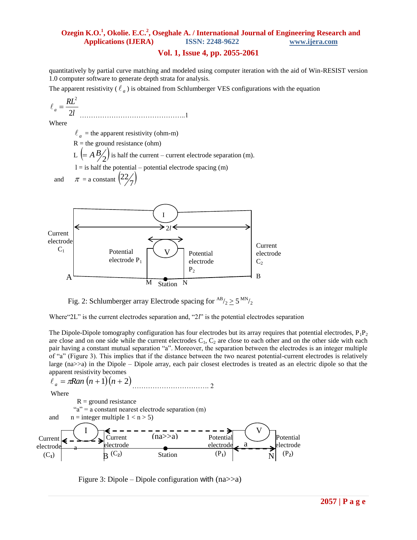### **Vol. 1, Issue 4, pp. 2055-2061**

quantitatively by partial curve matching and modeled using computer iteration with the aid of Win-RESIST version 1.0 computer software to generate depth strata for analysis.

The apparent resistivity ( $\ell_a$ ) is obtained from Schlumberger VES configurations with the equation

$$
\ell_a = \frac{RL^2}{2l} \tag{1}
$$

Where

 $\ell_a$  = the apparent resistivity (ohm-m)

 $R =$  the ground resistance (ohm)

L  $\left(=A \frac{B}{2}\right)$  is half the current – current electrode separation (m).

 $l =$  is half the potential – potential electrode spacing  $(m)$ 

 and  $\pi$  = a constant  $\left(\frac{22}{7}\right)$ 22



Fig. 2: Schlumberger array Electrode spacing for  $^{AB}/_2 \ge 5^{MN}/_2$ 

Where"2L" is the current electrodes separation and, "2l" is the potential electrodes separation

The Dipole-Dipole tomography configuration has four electrodes but its array requires that potential electrodes,  $P_1P_2$ are close and on one side while the current electrodes  $C_1$ ,  $C_2$  are close to each other and on the other side with each pair having a constant mutual separation "a". Moreover, the separation between the electrodes is an integer multiple of "a" (Figure 3). This implies that if the distance between the two nearest potential-current electrodes is relatively large (na>>a) in the Dipole – Dipole array, each pair closest electrodes is treated as an electric dipole so that the apparent resistivity becomes

$$
\ell_a = \pi Ran (n+1)(n+2) \dots 2
$$
\nWhere\n
$$
R = \text{ground resistance}
$$
\nand\n
$$
n = \text{integer multiple } 1 < n > 5
$$
\n
$$
\text{Current} \left( \bigcup_{\text{ellactrode}} \bigcup_{\text{ellactrode}} \bigcup_{\text{ellactrode}} \bigcup_{\text{ellactrode}} \bigcup_{\text{ellactrode}} \bigcup_{\text{ellactrode}} \bigcup_{\text{ellactrode}} \bigcup_{\text{ellactrode}} \bigcap_{\text{ellotrode}} \bigcap_{\text{ellotrode}} \bigcap_{\text{ellotrode}} \bigcap_{\text{ellotrode}} \bigcap_{\text{ellotrode}} \bigcap_{\text{ellotrode}} \bigcap_{\text{ellotrode}} \bigcap_{\text{ellotrode}} \bigcap_{\text{ellotrode}} \bigcap_{\text{ellotrode}} \bigcap_{\text{ellotrode}} \bigcap_{\text{ellotrode}} \bigcap_{\text{ellotrode}} \bigcap_{\text{ellotrode}} \bigcap_{\text{ellotrode}} \bigcap_{\text{ellotrode}} \bigcap_{\text{ellotrode}} \bigcap_{\text{ellotrode}} \bigcap_{\text{ellotrode}} \bigcap_{\text{ellotrode}} \bigcap_{\text{ellotrode}} \bigcap_{\text{ellotrode}} \bigcap_{\text{ellotrode}} \bigcap_{\text{ellotrode}} \bigcap_{\text{ellotrode}} \bigcap_{\text{ellotrode}} \bigcap_{\text{ellotrode}} \bigcap_{\text{ellotrode}} \bigcap_{\text{ellotrode}} \bigcap_{\text{ellotrode}} \bigcap_{\text{ellotrode}} \bigcap_{\text{ellotrode}} \bigcap_{\text{ellotrode}} \bigcap_{\text{ellotrode}} \bigcap_{\text{ellotrode}} \bigcap_{\text{ellotrode}} \bigcap_{\text{ellotrode}} \bigcap_{\text{ellotrode}} \bigcap_{\text{ellotrode}} \bigcap_{\text{ellotrode}} \bigcap_{\text{ellotrode}} \bigcap_{\text{ellotrode}} \bigcap_{\text{ellotrode}} \bigcap_{\text{ellotrode}} \bigcap_{\text{ellotrode}} \bigcap_{\text{ellotrode}} \bigcap_{\text{ellotrode}} \bigcap_{\text{ellotrode}} \
$$

Figure 3: Dipole – Dipole configuration with  $(na \ge a)$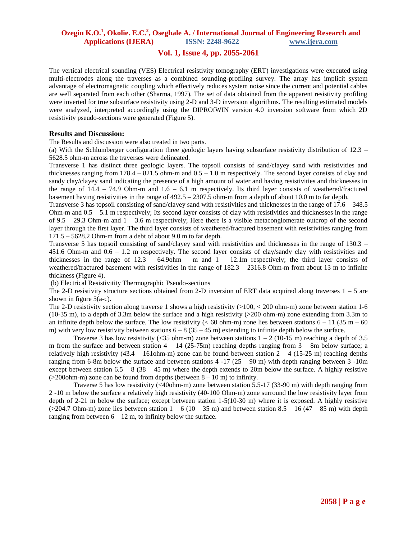### **Vol. 1, Issue 4, pp. 2055-2061**

The vertical electrical sounding (VES) Electrical resistivity tomography (ERT) investigations were executed using multi-electrodes along the traverses as a combined sounding-profiling survey. The array has implicit system advantage of electromagnetic coupling which effectively reduces system noise since the current and potential cables are well separated from each other (Sharma, 1997). The set of data obtained from the apparent resistivity profiling were inverted for true subsurface resistivity using 2-D and 3-D inversion algorithms. The resulting estimated models were analyzed, interpreted accordingly using the DIPROfWIN version 4.0 inversion software from which 2D resistivity pseudo-sections were generated (Figure 5).

#### **Results and Discussion:**

The Results and discussion were also treated in two parts.

(a) With the Schlumberger configuration three geologic layers having subsurface resistivity distribution of 12.3 – 5628.5 ohm-m across the traverses were delineated.

Transverse 1 has distinct three geologic layers. The topsoil consists of sand/clayey sand with resistivities and thicknesses ranging from  $178.4 - 821.5$  ohm-m and  $0.5 - 1.0$  m respectively. The second layer consists of clay and sandy clay/clayey sand indicating the presence of a high amount of water and having resistivities and thicknesses in the range of  $14.4 - 74.9$  Ohm-m and  $1.6 - 6.1$  m respectively. Its third layer consists of weathered/fractured basement having resistivities in the range of 492.5 – 2307.5 ohm-m from a depth of about 10.0 m to far depth.

Transverse 3 has topsoil consisting of sand/clayey sand with resistivities and thicknesses in the range of 17.6 – 348.5 Ohm-m and 0.5 – 5.1 m respectively; Its second layer consists of clay with resistivities and thicknesses in the range of 9.5 – 29.3 Ohm-m and  $1 - 3.6$  m respectively; Here there is a visible metaconglomerate outcrop of the second layer through the first layer. The third layer consists of weathered/fractured basement with resistivities ranging from 171.5 – 5628.2 Ohm-m from a debt of about 9.0 m to far depth.

Transverse 5 has topsoil consisting of sand/clayey sand with resistivities and thicknesses in the range of 130.3 – 451.6 Ohm-m and 0.6 – 1.2 m respectively. The second layer consists of clay/sandy clay with resistivities and thicknesses in the range of  $12.3 - 64.9$ ohm – m and  $1 - 12.1$ m respectively; the third layer consists of weathered/fractured basement with resistivities in the range of 182.3 – 2316.8 Ohm-m from about 13 m to infinite thickness (Figure 4).

(b) Electrical Resistivitity Thermographic Pseudo-sections

The 2-D resistivity structure sections obtained from 2-D inversion of ERT data acquired along traverses  $1 - 5$  are shown in figure 5(a-c).

The 2-D resistivity section along traverse 1 shows a high resistivity  $(>100, < 200$  ohm-m) zone between station 1-6 (10-35 m), to a depth of 3.3m below the surface and a high resistivity (>200 ohm-m) zone extending from 3.3m to an infinite depth below the surface. The low resistivity ( $<$  60 ohm-m) zone lies between stations  $6 - 11$  (35 m – 60) m) with very low resistivity between stations  $6 - 8 (35 - 45 \text{ m})$  extending to infinite depth below the surface.

Traverse 3 has low resistivity (<35 ohm-m) zone between stations  $1 - 2$  (10-15 m) reaching a depth of 3.5 m from the surface and between station  $4 - 14$  (25-75m) reaching depths ranging from  $3 - 8$ m below surface; a relatively high resistivity  $(43.4 - 161$ ohm-m) zone can be found between station  $2 - 4$  (15-25 m) reaching depths ranging from 6-8m below the surface and between stations  $4 -17(25 - 90)$  m with depth ranging between 3 -10m except between station  $6.5 - 8$  ( $38 - 45$  m) where the depth extends to 20m below the surface. A highly resistive  $(>200$ ohm-m) zone can be found from depths (between  $8 - 10$  m) to infinity.

Traverse 5 has low resistivity (<40ohm-m) zone between station 5.5-17 (33-90 m) with depth ranging from 2 -10 m below the surface a relatively high resistivity (40-100 Ohm-m) zone surround the low resistivity layer from depth of 2-21 m below the surface; except between station 1-5(10-30 m) where it is exposed. A highly resistive ( $>$ 204.7 Ohm-m) zone lies between station 1 – 6 (10 – 35 m) and between station 8.5 – 16 (47 – 85 m) with depth ranging from between  $6 - 12$  m, to infinity below the surface.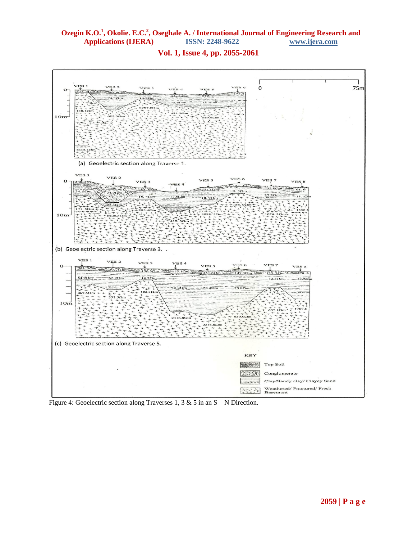#### **Vol. 1, Issue 4, pp. 2055-2061**



Figure 4: Geoelectric section along Traverses 1, 3 & 5 in an  $S - N$  Direction.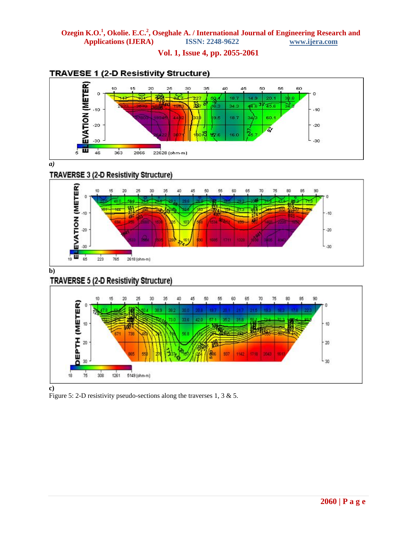### **Vol. 1, Issue 4, pp. 2055-2061**



## **TRAVESE 1 (2-D Resistivity Structure)**

*a)*

## **TRAVERSE 3 (2-D Resistivity Structure)**



**b)**

# TRAVERSE 5 (2-D Resistivity Structure)



Figure 5: 2-D resistivity pseudo-sections along the traverses 1, 3 & 5.